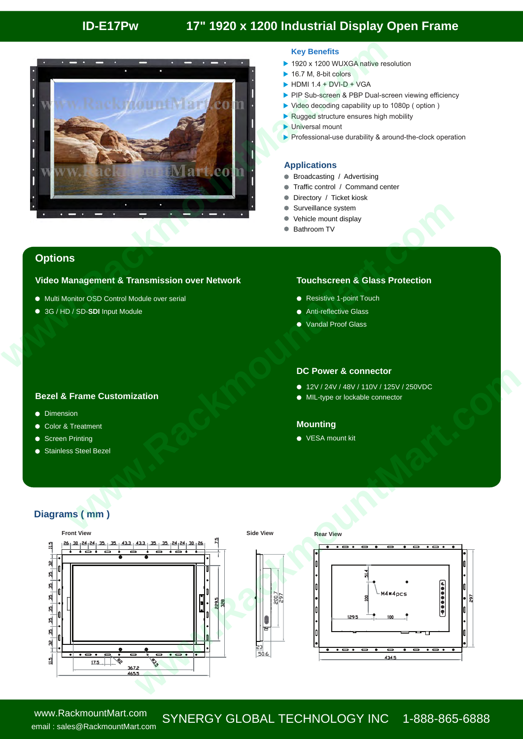# **ID-E17Pw 17" 1920 x 1200 Industrial Display Open Frame**



### **Key Benefits**

- ▶ 1920 x 1200 WUXGA native resolution
- ▶ 16.7 M, 8-bit colors
- $\blacktriangleright$  HDMI 1.4 + DVI-D + VGA
- PIP Sub-screen & PBP Dual-screen viewing efficiency
- ▶ Video decoding capability up to 1080p ( option )
- Rugged structure ensures high mobility
- **Universal mount**
- Professional-use durability & around-the-clock operation

#### **Applications**

- **Broadcasting / Advertising**
- Traffic control / Command center
- Directory / Ticket kiosk
- Surveillance system
- Vehicle mount display
- Bathroom TV

## **Options**

#### **Video Management & Transmission over Network Touchscreen & Glass Protection**

- Multi Monitor OSD Control Module over serial
- 3G / HD / SD-**SDI** Input Module

- Resistive 1-point Touch
- **•** Anti-reflective Glass
- Vandal Proof Glass

#### **Bezel & Frame Customization**

- **•** Dimension
- Color & Treatment
- Screen Printing  $\bullet$
- Stainless Steel Bezel  $\bullet$

## **DC Power & connector**

- 12V / 24V / 48V / 110V / 125V / 250VDC
- $\bullet$  MIL-type or lockable connector

### **Mounting**

## **Diagrams ( mm )**